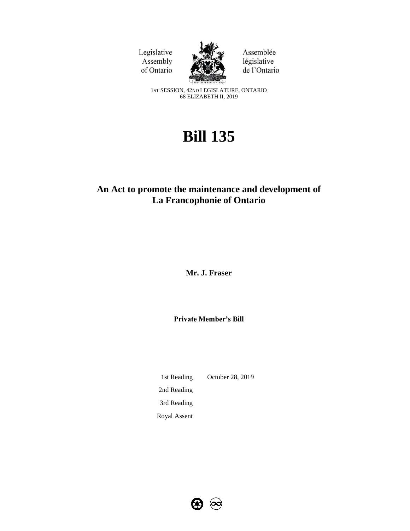Legislative Assembly of Ontario



Assemblée législative de l'Ontario

1ST SESSION, 42ND LEGISLATURE, ONTARIO 68 ELIZABETH II, 2019

# **Bill 135**

# **An Act to promote the maintenance and development of La Francophonie of Ontario**

**Mr. J. Fraser**

**Private Member's Bill**

1st Reading October 28, 2019 2nd Reading 3rd Reading Royal Assent

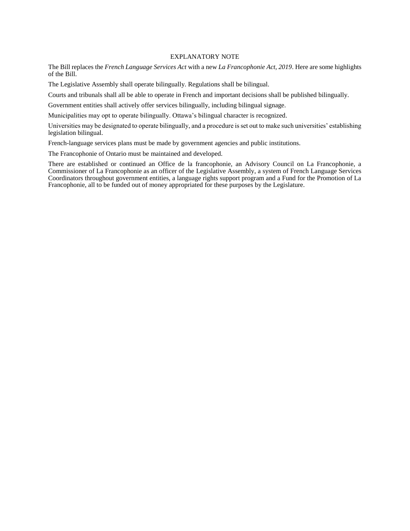# EXPLANATORY NOTE

The Bill replaces the *French Language Services Act* with a new *La Francophonie Act, 2019*. Here are some highlights of the Bill.

The Legislative Assembly shall operate bilingually. Regulations shall be bilingual.

Courts and tribunals shall all be able to operate in French and important decisions shall be published bilingually.

Government entities shall actively offer services bilingually, including bilingual signage.

Municipalities may opt to operate bilingually. Ottawa's bilingual character is recognized.

Universities may be designated to operate bilingually, and a procedure is set out to make such universities' establishing legislation bilingual.

French-language services plans must be made by government agencies and public institutions.

The Francophonie of Ontario must be maintained and developed.

There are established or continued an Office de la francophonie, an Advisory Council on La Francophonie, a Commissioner of La Francophonie as an officer of the Legislative Assembly, a system of French Language Services Coordinators throughout government entities, a language rights support program and a Fund for the Promotion of La Francophonie, all to be funded out of money appropriated for these purposes by the Legislature.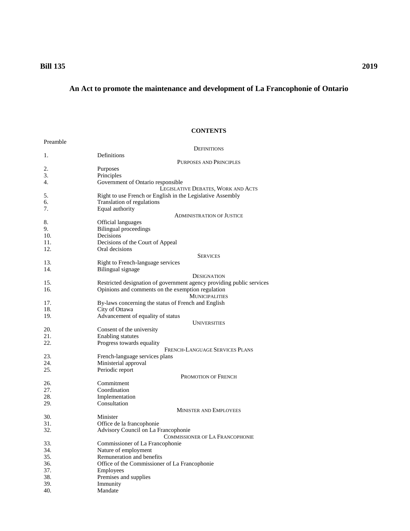# **Bill 135 2019**

# **An Act to promote the maintenance and development of La Francophonie of Ontario**

# **CONTENTS**

| Definitions<br>1.<br>PURPOSES AND PRINCIPLES<br>2.<br>Purposes<br>3.<br>Principles<br>Government of Ontario responsible<br>4.<br>LEGISLATIVE DEBATES, WORK AND ACTS<br>Right to use French or English in the Legislative Assembly<br>5.<br>Translation of regulations<br>6.<br>7.<br>Equal authority<br><b>ADMINISTRATION OF JUSTICE</b><br>8.<br>Official languages<br>9.<br><b>Bilingual</b> proceedings<br>10.<br>Decisions<br>11.<br>Decisions of the Court of Appeal<br>12.<br>Oral decisions<br><b>SERVICES</b><br>13.<br>Right to French-language services<br>14.<br>Bilingual signage<br>DESIGNATION<br>15.<br>Restricted designation of government agency providing public services<br>16.<br>Opinions and comments on the exemption regulation<br><b>MUNICIPALITIES</b><br>17.<br>By-laws concerning the status of French and English<br>18.<br>City of Ottawa<br>19.<br>Advancement of equality of status<br><b>UNIVERSITIES</b><br>20.<br>Consent of the university<br>21.<br><b>Enabling statutes</b><br>22.<br>Progress towards equality<br>FRENCH-LANGUAGE SERVICES PLANS<br>23.<br>French-language services plans<br>24.<br>Ministerial approval<br>25.<br>Periodic report<br>PROMOTION OF FRENCH<br>26.<br>Commitment<br>27.<br>Coordination<br>28.<br>Implementation<br>Consultation<br>29.<br><b>MINISTER AND EMPLOYEES</b><br>30.<br>Minister<br>31.<br>Office de la francophonie<br>Advisory Council on La Francophonie<br>32.<br>COMMISSIONER OF LA FRANCOPHONIE<br>33.<br>Commissioner of La Francophonie<br>34.<br>Nature of employment<br>35.<br>Remuneration and benefits<br>36.<br>Office of the Commissioner of La Francophonie<br>37.<br>Employees<br>38.<br>Premises and supplies<br>39.<br>Immunity<br>40.<br>Mandate | Preamble |                    |
|------------------------------------------------------------------------------------------------------------------------------------------------------------------------------------------------------------------------------------------------------------------------------------------------------------------------------------------------------------------------------------------------------------------------------------------------------------------------------------------------------------------------------------------------------------------------------------------------------------------------------------------------------------------------------------------------------------------------------------------------------------------------------------------------------------------------------------------------------------------------------------------------------------------------------------------------------------------------------------------------------------------------------------------------------------------------------------------------------------------------------------------------------------------------------------------------------------------------------------------------------------------------------------------------------------------------------------------------------------------------------------------------------------------------------------------------------------------------------------------------------------------------------------------------------------------------------------------------------------------------------------------------------------------------------------------------------------------------------------------------------|----------|--------------------|
|                                                                                                                                                                                                                                                                                                                                                                                                                                                                                                                                                                                                                                                                                                                                                                                                                                                                                                                                                                                                                                                                                                                                                                                                                                                                                                                                                                                                                                                                                                                                                                                                                                                                                                                                                      |          | <b>DEFINITIONS</b> |
|                                                                                                                                                                                                                                                                                                                                                                                                                                                                                                                                                                                                                                                                                                                                                                                                                                                                                                                                                                                                                                                                                                                                                                                                                                                                                                                                                                                                                                                                                                                                                                                                                                                                                                                                                      |          |                    |
|                                                                                                                                                                                                                                                                                                                                                                                                                                                                                                                                                                                                                                                                                                                                                                                                                                                                                                                                                                                                                                                                                                                                                                                                                                                                                                                                                                                                                                                                                                                                                                                                                                                                                                                                                      |          |                    |
|                                                                                                                                                                                                                                                                                                                                                                                                                                                                                                                                                                                                                                                                                                                                                                                                                                                                                                                                                                                                                                                                                                                                                                                                                                                                                                                                                                                                                                                                                                                                                                                                                                                                                                                                                      |          |                    |
|                                                                                                                                                                                                                                                                                                                                                                                                                                                                                                                                                                                                                                                                                                                                                                                                                                                                                                                                                                                                                                                                                                                                                                                                                                                                                                                                                                                                                                                                                                                                                                                                                                                                                                                                                      |          |                    |
|                                                                                                                                                                                                                                                                                                                                                                                                                                                                                                                                                                                                                                                                                                                                                                                                                                                                                                                                                                                                                                                                                                                                                                                                                                                                                                                                                                                                                                                                                                                                                                                                                                                                                                                                                      |          |                    |
|                                                                                                                                                                                                                                                                                                                                                                                                                                                                                                                                                                                                                                                                                                                                                                                                                                                                                                                                                                                                                                                                                                                                                                                                                                                                                                                                                                                                                                                                                                                                                                                                                                                                                                                                                      |          |                    |
|                                                                                                                                                                                                                                                                                                                                                                                                                                                                                                                                                                                                                                                                                                                                                                                                                                                                                                                                                                                                                                                                                                                                                                                                                                                                                                                                                                                                                                                                                                                                                                                                                                                                                                                                                      |          |                    |
|                                                                                                                                                                                                                                                                                                                                                                                                                                                                                                                                                                                                                                                                                                                                                                                                                                                                                                                                                                                                                                                                                                                                                                                                                                                                                                                                                                                                                                                                                                                                                                                                                                                                                                                                                      |          |                    |
|                                                                                                                                                                                                                                                                                                                                                                                                                                                                                                                                                                                                                                                                                                                                                                                                                                                                                                                                                                                                                                                                                                                                                                                                                                                                                                                                                                                                                                                                                                                                                                                                                                                                                                                                                      |          |                    |
|                                                                                                                                                                                                                                                                                                                                                                                                                                                                                                                                                                                                                                                                                                                                                                                                                                                                                                                                                                                                                                                                                                                                                                                                                                                                                                                                                                                                                                                                                                                                                                                                                                                                                                                                                      |          |                    |
|                                                                                                                                                                                                                                                                                                                                                                                                                                                                                                                                                                                                                                                                                                                                                                                                                                                                                                                                                                                                                                                                                                                                                                                                                                                                                                                                                                                                                                                                                                                                                                                                                                                                                                                                                      |          |                    |
|                                                                                                                                                                                                                                                                                                                                                                                                                                                                                                                                                                                                                                                                                                                                                                                                                                                                                                                                                                                                                                                                                                                                                                                                                                                                                                                                                                                                                                                                                                                                                                                                                                                                                                                                                      |          |                    |
|                                                                                                                                                                                                                                                                                                                                                                                                                                                                                                                                                                                                                                                                                                                                                                                                                                                                                                                                                                                                                                                                                                                                                                                                                                                                                                                                                                                                                                                                                                                                                                                                                                                                                                                                                      |          |                    |
|                                                                                                                                                                                                                                                                                                                                                                                                                                                                                                                                                                                                                                                                                                                                                                                                                                                                                                                                                                                                                                                                                                                                                                                                                                                                                                                                                                                                                                                                                                                                                                                                                                                                                                                                                      |          |                    |
|                                                                                                                                                                                                                                                                                                                                                                                                                                                                                                                                                                                                                                                                                                                                                                                                                                                                                                                                                                                                                                                                                                                                                                                                                                                                                                                                                                                                                                                                                                                                                                                                                                                                                                                                                      |          |                    |
|                                                                                                                                                                                                                                                                                                                                                                                                                                                                                                                                                                                                                                                                                                                                                                                                                                                                                                                                                                                                                                                                                                                                                                                                                                                                                                                                                                                                                                                                                                                                                                                                                                                                                                                                                      |          |                    |
|                                                                                                                                                                                                                                                                                                                                                                                                                                                                                                                                                                                                                                                                                                                                                                                                                                                                                                                                                                                                                                                                                                                                                                                                                                                                                                                                                                                                                                                                                                                                                                                                                                                                                                                                                      |          |                    |
|                                                                                                                                                                                                                                                                                                                                                                                                                                                                                                                                                                                                                                                                                                                                                                                                                                                                                                                                                                                                                                                                                                                                                                                                                                                                                                                                                                                                                                                                                                                                                                                                                                                                                                                                                      |          |                    |
|                                                                                                                                                                                                                                                                                                                                                                                                                                                                                                                                                                                                                                                                                                                                                                                                                                                                                                                                                                                                                                                                                                                                                                                                                                                                                                                                                                                                                                                                                                                                                                                                                                                                                                                                                      |          |                    |
|                                                                                                                                                                                                                                                                                                                                                                                                                                                                                                                                                                                                                                                                                                                                                                                                                                                                                                                                                                                                                                                                                                                                                                                                                                                                                                                                                                                                                                                                                                                                                                                                                                                                                                                                                      |          |                    |
|                                                                                                                                                                                                                                                                                                                                                                                                                                                                                                                                                                                                                                                                                                                                                                                                                                                                                                                                                                                                                                                                                                                                                                                                                                                                                                                                                                                                                                                                                                                                                                                                                                                                                                                                                      |          |                    |
|                                                                                                                                                                                                                                                                                                                                                                                                                                                                                                                                                                                                                                                                                                                                                                                                                                                                                                                                                                                                                                                                                                                                                                                                                                                                                                                                                                                                                                                                                                                                                                                                                                                                                                                                                      |          |                    |
|                                                                                                                                                                                                                                                                                                                                                                                                                                                                                                                                                                                                                                                                                                                                                                                                                                                                                                                                                                                                                                                                                                                                                                                                                                                                                                                                                                                                                                                                                                                                                                                                                                                                                                                                                      |          |                    |
|                                                                                                                                                                                                                                                                                                                                                                                                                                                                                                                                                                                                                                                                                                                                                                                                                                                                                                                                                                                                                                                                                                                                                                                                                                                                                                                                                                                                                                                                                                                                                                                                                                                                                                                                                      |          |                    |
|                                                                                                                                                                                                                                                                                                                                                                                                                                                                                                                                                                                                                                                                                                                                                                                                                                                                                                                                                                                                                                                                                                                                                                                                                                                                                                                                                                                                                                                                                                                                                                                                                                                                                                                                                      |          |                    |
|                                                                                                                                                                                                                                                                                                                                                                                                                                                                                                                                                                                                                                                                                                                                                                                                                                                                                                                                                                                                                                                                                                                                                                                                                                                                                                                                                                                                                                                                                                                                                                                                                                                                                                                                                      |          |                    |
|                                                                                                                                                                                                                                                                                                                                                                                                                                                                                                                                                                                                                                                                                                                                                                                                                                                                                                                                                                                                                                                                                                                                                                                                                                                                                                                                                                                                                                                                                                                                                                                                                                                                                                                                                      |          |                    |
|                                                                                                                                                                                                                                                                                                                                                                                                                                                                                                                                                                                                                                                                                                                                                                                                                                                                                                                                                                                                                                                                                                                                                                                                                                                                                                                                                                                                                                                                                                                                                                                                                                                                                                                                                      |          |                    |
|                                                                                                                                                                                                                                                                                                                                                                                                                                                                                                                                                                                                                                                                                                                                                                                                                                                                                                                                                                                                                                                                                                                                                                                                                                                                                                                                                                                                                                                                                                                                                                                                                                                                                                                                                      |          |                    |
|                                                                                                                                                                                                                                                                                                                                                                                                                                                                                                                                                                                                                                                                                                                                                                                                                                                                                                                                                                                                                                                                                                                                                                                                                                                                                                                                                                                                                                                                                                                                                                                                                                                                                                                                                      |          |                    |
|                                                                                                                                                                                                                                                                                                                                                                                                                                                                                                                                                                                                                                                                                                                                                                                                                                                                                                                                                                                                                                                                                                                                                                                                                                                                                                                                                                                                                                                                                                                                                                                                                                                                                                                                                      |          |                    |
|                                                                                                                                                                                                                                                                                                                                                                                                                                                                                                                                                                                                                                                                                                                                                                                                                                                                                                                                                                                                                                                                                                                                                                                                                                                                                                                                                                                                                                                                                                                                                                                                                                                                                                                                                      |          |                    |
|                                                                                                                                                                                                                                                                                                                                                                                                                                                                                                                                                                                                                                                                                                                                                                                                                                                                                                                                                                                                                                                                                                                                                                                                                                                                                                                                                                                                                                                                                                                                                                                                                                                                                                                                                      |          |                    |
|                                                                                                                                                                                                                                                                                                                                                                                                                                                                                                                                                                                                                                                                                                                                                                                                                                                                                                                                                                                                                                                                                                                                                                                                                                                                                                                                                                                                                                                                                                                                                                                                                                                                                                                                                      |          |                    |
|                                                                                                                                                                                                                                                                                                                                                                                                                                                                                                                                                                                                                                                                                                                                                                                                                                                                                                                                                                                                                                                                                                                                                                                                                                                                                                                                                                                                                                                                                                                                                                                                                                                                                                                                                      |          |                    |
|                                                                                                                                                                                                                                                                                                                                                                                                                                                                                                                                                                                                                                                                                                                                                                                                                                                                                                                                                                                                                                                                                                                                                                                                                                                                                                                                                                                                                                                                                                                                                                                                                                                                                                                                                      |          |                    |
|                                                                                                                                                                                                                                                                                                                                                                                                                                                                                                                                                                                                                                                                                                                                                                                                                                                                                                                                                                                                                                                                                                                                                                                                                                                                                                                                                                                                                                                                                                                                                                                                                                                                                                                                                      |          |                    |
|                                                                                                                                                                                                                                                                                                                                                                                                                                                                                                                                                                                                                                                                                                                                                                                                                                                                                                                                                                                                                                                                                                                                                                                                                                                                                                                                                                                                                                                                                                                                                                                                                                                                                                                                                      |          |                    |
|                                                                                                                                                                                                                                                                                                                                                                                                                                                                                                                                                                                                                                                                                                                                                                                                                                                                                                                                                                                                                                                                                                                                                                                                                                                                                                                                                                                                                                                                                                                                                                                                                                                                                                                                                      |          |                    |
|                                                                                                                                                                                                                                                                                                                                                                                                                                                                                                                                                                                                                                                                                                                                                                                                                                                                                                                                                                                                                                                                                                                                                                                                                                                                                                                                                                                                                                                                                                                                                                                                                                                                                                                                                      |          |                    |
|                                                                                                                                                                                                                                                                                                                                                                                                                                                                                                                                                                                                                                                                                                                                                                                                                                                                                                                                                                                                                                                                                                                                                                                                                                                                                                                                                                                                                                                                                                                                                                                                                                                                                                                                                      |          |                    |
|                                                                                                                                                                                                                                                                                                                                                                                                                                                                                                                                                                                                                                                                                                                                                                                                                                                                                                                                                                                                                                                                                                                                                                                                                                                                                                                                                                                                                                                                                                                                                                                                                                                                                                                                                      |          |                    |
|                                                                                                                                                                                                                                                                                                                                                                                                                                                                                                                                                                                                                                                                                                                                                                                                                                                                                                                                                                                                                                                                                                                                                                                                                                                                                                                                                                                                                                                                                                                                                                                                                                                                                                                                                      |          |                    |
|                                                                                                                                                                                                                                                                                                                                                                                                                                                                                                                                                                                                                                                                                                                                                                                                                                                                                                                                                                                                                                                                                                                                                                                                                                                                                                                                                                                                                                                                                                                                                                                                                                                                                                                                                      |          |                    |
|                                                                                                                                                                                                                                                                                                                                                                                                                                                                                                                                                                                                                                                                                                                                                                                                                                                                                                                                                                                                                                                                                                                                                                                                                                                                                                                                                                                                                                                                                                                                                                                                                                                                                                                                                      |          |                    |
|                                                                                                                                                                                                                                                                                                                                                                                                                                                                                                                                                                                                                                                                                                                                                                                                                                                                                                                                                                                                                                                                                                                                                                                                                                                                                                                                                                                                                                                                                                                                                                                                                                                                                                                                                      |          |                    |
|                                                                                                                                                                                                                                                                                                                                                                                                                                                                                                                                                                                                                                                                                                                                                                                                                                                                                                                                                                                                                                                                                                                                                                                                                                                                                                                                                                                                                                                                                                                                                                                                                                                                                                                                                      |          |                    |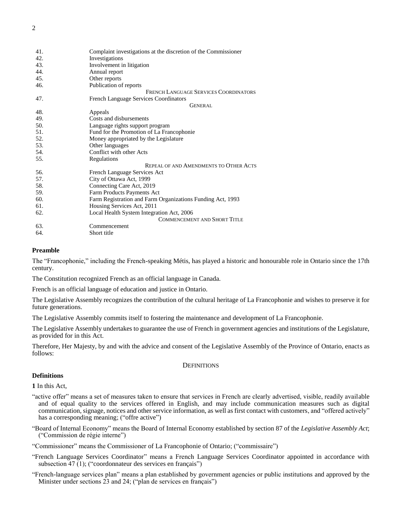| 41. | Complaint investigations at the discretion of the Commissioner |
|-----|----------------------------------------------------------------|
| 42. | Investigations                                                 |
| 43. | Involvement in litigation                                      |
| 44. | Annual report                                                  |
| 45. | Other reports                                                  |
| 46. | Publication of reports                                         |
|     | FRENCH LANGUAGE SERVICES COORDINATORS                          |
| 47. | <b>French Language Services Coordinators</b>                   |
|     | GENERAL                                                        |
| 48. | Appeals                                                        |
| 49. | Costs and disbursements                                        |
| 50. | Language rights support program                                |
| 51. | Fund for the Promotion of La Francophonie                      |
| 52. | Money appropriated by the Legislature                          |
| 53. | Other languages                                                |
| 54. | Conflict with other Acts                                       |
| 55. | Regulations                                                    |
|     | REPEAL OF AND AMENDMENTS TO OTHER ACTS                         |
| 56. | French Language Services Act                                   |
| 57. | City of Ottawa Act, 1999                                       |
| 58. | Connecting Care Act, 2019                                      |
| 59. | Farm Products Payments Act                                     |
| 60. | Farm Registration and Farm Organizations Funding Act, 1993     |
| 61. | Housing Services Act, 2011                                     |
| 62. | Local Health System Integration Act, 2006                      |
|     | <b>COMMENCEMENT AND SHORT TITLE</b>                            |
| 63. | Commencement                                                   |
| 64. | Short title                                                    |

# **Preamble**

<span id="page-3-0"></span>The "Francophonie," including the French-speaking Métis, has played a historic and honourable role in Ontario since the 17th century.

The Constitution recognized French as an official language in Canada.

French is an official language of education and justice in Ontario.

The Legislative Assembly recognizes the contribution of the cultural heritage of La Francophonie and wishes to preserve it for future generations.

The Legislative Assembly commits itself to fostering the maintenance and development of La Francophonie.

The Legislative Assembly undertakes to guarantee the use of French in government agencies and institutions of the Legislature, as provided for in this Act.

<span id="page-3-1"></span>Therefore, Her Majesty, by and with the advice and consent of the Legislative Assembly of the Province of Ontario, enacts as follows:

#### **DEFINITIONS**

# **Definitions**

<span id="page-3-2"></span>**1** In this Act,

- "active offer" means a set of measures taken to ensure that services in French are clearly advertised, visible, readily available and of equal quality to the services offered in English, and may include communication measures such as digital communication, signage, notices and other service information, as well as first contact with customers, and "offered actively" has a corresponding meaning; ("offre active")
- "Board of Internal Economy" means the Board of Internal Economy established by section 87 of the *Legislative Assembly Act*; ("Commission de régie interne")

"Commissioner" means the Commissioner of La Francophonie of Ontario; ("commissaire")

- "French Language Services Coordinator" means a French Language Services Coordinator appointed in accordance with subsection  $\overline{47}$  (1); ("coordonnateur des services en français")
- "French-language services plan" means a plan established by government agencies or public institutions and approved by the Minister under sections 23 and 24; ("plan de services en français")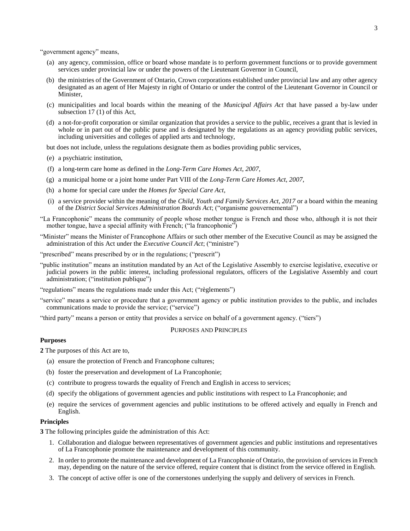<span id="page-4-3"></span>"government agency" means,

- (a) any agency, commission, office or board whose mandate is to perform government functions or to provide government services under provincial law or under the powers of the Lieutenant Governor in Council,
- (b) the ministries of the Government of Ontario, Crown corporations established under provincial law and any other agency designated as an agent of Her Majesty in right of Ontario or under the control of the Lieutenant Governor in Council or Minister,
- (c) municipalities and local boards within the meaning of the *Municipal Affairs Act* that have passed a by-law under subsection 17 (1) of this Act,
- (d) a not-for-profit corporation or similar organization that provides a service to the public, receives a grant that is levied in whole or in part out of the public purse and is designated by the regulations as an agency providing public services, including universities and colleges of applied arts and technology,

but does not include, unless the regulations designate them as bodies providing public services,

- (e) a psychiatric institution,
- (f) a long-term care home as defined in the *Long-Term Care Homes Act, 2007*,
- (g) a municipal home or a joint home under Part VIII of the *Long-Term Care Homes Act, 2007*,
- (h) a home for special care under the *Homes for Special Care Act*,
- (i) a service provider within the meaning of the *Child, Youth and Family Services Act, 2017* or a board within the meaning of the *District Social Services Administration Boards Act*; ("organisme gouvernemental")
- "La Francophonie" means the community of people whose mother tongue is French and those who, although it is not their mother tongue, have a special affinity with French; ("la francophonie")
- "Minister" means the Minister of Francophone Affairs or such other member of the Executive Council as may be assigned the administration of this Act under the *Executive Council Act*; ("ministre")
- "prescribed" means prescribed by or in the regulations; ("prescrit")
- "public institution" means an institution mandated by an Act of the Legislative Assembly to exercise legislative, executive or judicial powers in the public interest, including professional regulators, officers of the Legislative Assembly and court administration; ("institution publique")

"regulations" means the regulations made under this Act; ("règlements")

"service" means a service or procedure that a government agency or public institution provides to the public, and includes communications made to provide the service; ("service")

<span id="page-4-0"></span>"third party" means a person or entity that provides a service on behalf of a government agency. ("tiers")

#### PURPOSES AND PRINCIPLES

#### **Purposes**

<span id="page-4-1"></span>**2** The purposes of this Act are to,

- (a) ensure the protection of French and Francophone cultures;
- (b) foster the preservation and development of La Francophonie;
- (c) contribute to progress towards the equality of French and English in access to services;
- (d) specify the obligations of government agencies and public institutions with respect to La Francophonie; and
- (e) require the services of government agencies and public institutions to be offered actively and equally in French and English.

# **Principles**

<span id="page-4-2"></span>**3** The following principles guide the administration of this Act:

- 1. Collaboration and dialogue between representatives of government agencies and public institutions and representatives of La Francophonie promote the maintenance and development of this community.
- 2. In order to promote the maintenance and development of La Francophonie of Ontario, the provision of services in French may, depending on the nature of the service offered, require content that is distinct from the service offered in English.
- 3. The concept of active offer is one of the cornerstones underlying the supply and delivery of services in French.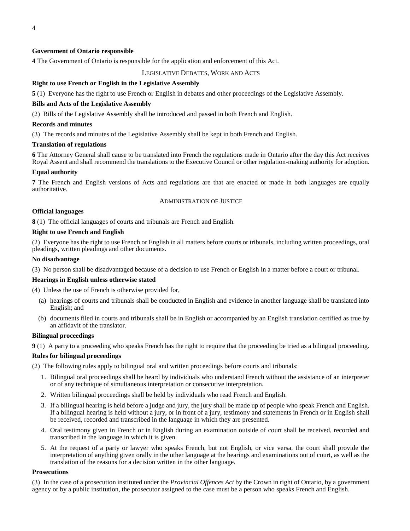# **Government of Ontario responsible**

<span id="page-5-0"></span>**4** The Government of Ontario is responsible for the application and enforcement of this Act.

# LEGISLATIVE DEBATES, WORK AND ACTS

# **Right to use French or English in the Legislative Assembly**

<span id="page-5-1"></span>**5** (1) Everyone has the right to use French or English in debates and other proceedings of the Legislative Assembly.

#### **Bills and Acts of the Legislative Assembly**

(2) Bills of the Legislative Assembly shall be introduced and passed in both French and English.

#### **Records and minutes**

(3) The records and minutes of the Legislative Assembly shall be kept in both French and English.

#### **Translation of regulations**

<span id="page-5-2"></span>**6** The Attorney General shall cause to be translated into French the regulations made in Ontario after the day this Act receives Royal Assent and shall recommend the translations to the Executive Council or other regulation-making authority for adoption.

#### **Equal authority**

<span id="page-5-4"></span><span id="page-5-3"></span>**7** The French and English versions of Acts and regulations are that are enacted or made in both languages are equally authoritative.

#### ADMINISTRATION OF JUSTICE

### **Official languages**

<span id="page-5-5"></span>**8** (1) The official languages of courts and tribunals are French and English.

### **Right to use French and English**

(2) Everyone has the right to use French or English in all matters before courts or tribunals, including written proceedings, oral pleadings, written pleadings and other documents.

#### **No disadvantage**

(3) No person shall be disadvantaged because of a decision to use French or English in a matter before a court or tribunal.

#### **Hearings in English unless otherwise stated**

(4) Unless the use of French is otherwise provided for,

- (a) hearings of courts and tribunals shall be conducted in English and evidence in another language shall be translated into English; and
- (b) documents filed in courts and tribunals shall be in English or accompanied by an English translation certified as true by an affidavit of the translator.

#### **Bilingual proceedings**

<span id="page-5-6"></span>**9** (1) A party to a proceeding who speaks French has the right to require that the proceeding be tried as a bilingual proceeding.

#### **Rules for bilingual proceedings**

(2) The following rules apply to bilingual oral and written proceedings before courts and tribunals:

- 1. Bilingual oral proceedings shall be heard by individuals who understand French without the assistance of an interpreter or of any technique of simultaneous interpretation or consecutive interpretation.
- 2. Written bilingual proceedings shall be held by individuals who read French and English.
- 3. If a bilingual hearing is held before a judge and jury, the jury shall be made up of people who speak French and English. If a bilingual hearing is held without a jury, or in front of a jury, testimony and statements in French or in English shall be received, recorded and transcribed in the language in which they are presented.
- 4. Oral testimony given in French or in English during an examination outside of court shall be received, recorded and transcribed in the language in which it is given.
- 5. At the request of a party or lawyer who speaks French, but not English, or vice versa, the court shall provide the interpretation of anything given orally in the other language at the hearings and examinations out of court, as well as the translation of the reasons for a decision written in the other language.

# **Prosecutions**

(3) In the case of a prosecution instituted under the *Provincial Offences Act* by the Crown in right of Ontario, by a government agency or by a public institution, the prosecutor assigned to the case must be a person who speaks French and English.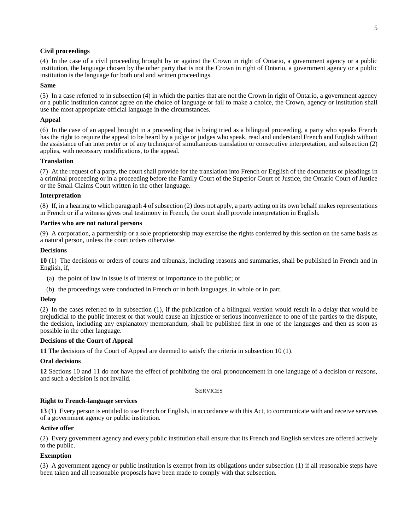# **Civil proceedings**

(4) In the case of a civil proceeding brought by or against the Crown in right of Ontario, a government agency or a public institution, the language chosen by the other party that is not the Crown in right of Ontario, a government agency or a public institution is the language for both oral and written proceedings.

#### **Same**

(5) In a case referred to in subsection (4) in which the parties that are not the Crown in right of Ontario, a government agency or a public institution cannot agree on the choice of language or fail to make a choice, the Crown, agency or institution shall use the most appropriate official language in the circumstances.

# **Appeal**

(6) In the case of an appeal brought in a proceeding that is being tried as a bilingual proceeding, a party who speaks French has the right to require the appeal to be heard by a judge or judges who speak, read and understand French and English without the assistance of an interpreter or of any technique of simultaneous translation or consecutive interpretation, and subsection (2) applies, with necessary modifications, to the appeal.

# **Translation**

(7) At the request of a party, the court shall provide for the translation into French or English of the documents or pleadings in a criminal proceeding or in a proceeding before the Family Court of the Superior Court of Justice, the Ontario Court of Justice or the Small Claims Court written in the other language.

#### **Interpretation**

(8) If, in a hearing to which paragraph 4 of subsection (2) does not apply, a party acting on its own behalf makes representations in French or if a witness gives oral testimony in French, the court shall provide interpretation in English.

#### **Parties who are not natural persons**

(9) A corporation, a partnership or a sole proprietorship may exercise the rights conferred by this section on the same basis as a natural person, unless the court orders otherwise.

#### **Decisions**

<span id="page-6-0"></span>**10** (1) The decisions or orders of courts and tribunals, including reasons and summaries, shall be published in French and in English, if,

- (a) the point of law in issue is of interest or importance to the public; or
- (b) the proceedings were conducted in French or in both languages, in whole or in part.

# **Delay**

(2) In the cases referred to in subsection (1), if the publication of a bilingual version would result in a delay that would be prejudicial to the public interest or that would cause an injustice or serious inconvenience to one of the parties to the dispute, the decision, including any explanatory memorandum, shall be published first in one of the languages and then as soon as possible in the other language.

# **Decisions of the Court of Appeal**

<span id="page-6-1"></span>**11** The decisions of the Court of Appeal are deemed to satisfy the criteria in subsection 10 (1).

# **Oral decisions**

<span id="page-6-3"></span><span id="page-6-2"></span>**12** Sections 10 and 11 do not have the effect of prohibiting the oral pronouncement in one language of a decision or reasons, and such a decision is not invalid.

#### **SERVICES**

# **Right to French-language services**

<span id="page-6-4"></span>**13** (1) Every person is entitled to use French or English, in accordance with this Act, to communicate with and receive services of a government agency or public institution.

# **Active offer**

(2) Every government agency and every public institution shall ensure that its French and English services are offered actively to the public.

# **Exemption**

(3) A government agency or public institution is exempt from its obligations under subsection (1) if all reasonable steps have been taken and all reasonable proposals have been made to comply with that subsection.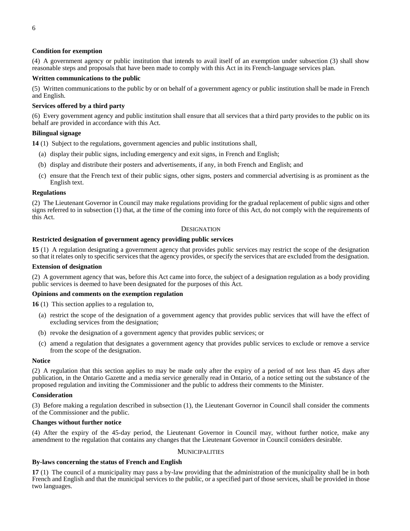# **Condition for exemption**

(4) A government agency or public institution that intends to avail itself of an exemption under subsection (3) shall show reasonable steps and proposals that have been made to comply with this Act in its French-language services plan.

# **Written communications to the public**

(5) Written communications to the public by or on behalf of a government agency or public institution shall be made in French and English.

# **Services offered by a third party**

(6) Every government agency and public institution shall ensure that all services that a third party provides to the public on its behalf are provided in accordance with this Act.

### **Bilingual signage**

<span id="page-7-0"></span>**14** (1) Subject to the regulations, government agencies and public institutions shall,

- (a) display their public signs, including emergency and exit signs, in French and English;
- (b) display and distribute their posters and advertisements, if any, in both French and English; and
- (c) ensure that the French text of their public signs, other signs, posters and commercial advertising is as prominent as the English text.

#### **Regulations**

(2) The Lieutenant Governor in Council may make regulations providing for the gradual replacement of public signs and other signs referred to in subsection (1) that, at the time of the coming into force of this Act, do not comply with the requirements of this Act.

# **DESIGNATION**

# <span id="page-7-1"></span>**Restricted designation of government agency providing public services**

<span id="page-7-2"></span>**15** (1) A regulation designating a government agency that provides public services may restrict the scope of the designation so that it relates only to specific services that the agency provides, or specify the services that are excluded from the designation.

#### **Extension of designation**

(2) A government agency that was, before this Act came into force, the subject of a designation regulation as a body providing public services is deemed to have been designated for the purposes of this Act.

### **Opinions and comments on the exemption regulation**

<span id="page-7-3"></span>**16** (1) This section applies to a regulation to,

- (a) restrict the scope of the designation of a government agency that provides public services that will have the effect of excluding services from the designation;
- (b) revoke the designation of a government agency that provides public services; or
- (c) amend a regulation that designates a government agency that provides public services to exclude or remove a service from the scope of the designation.

#### **Notice**

(2) A regulation that this section applies to may be made only after the expiry of a period of not less than 45 days after publication, in the Ontario Gazette and a media service generally read in Ontario, of a notice setting out the substance of the proposed regulation and inviting the Commissioner and the public to address their comments to the Minister.

#### **Consideration**

(3) Before making a regulation described in subsection (1), the Lieutenant Governor in Council shall consider the comments of the Commissioner and the public.

#### **Changes without further notice**

<span id="page-7-4"></span>(4) After the expiry of the 45-day period, the Lieutenant Governor in Council may, without further notice, make any amendment to the regulation that contains any changes that the Lieutenant Governor in Council considers desirable.

#### **MUNICIPALITIES**

# **By-laws concerning the status of French and English**

<span id="page-7-5"></span>**17** (1) The council of a municipality may pass a by-law providing that the administration of the municipality shall be in both French and English and that the municipal services to the public, or a specified part of those services, shall be provided in those two languages.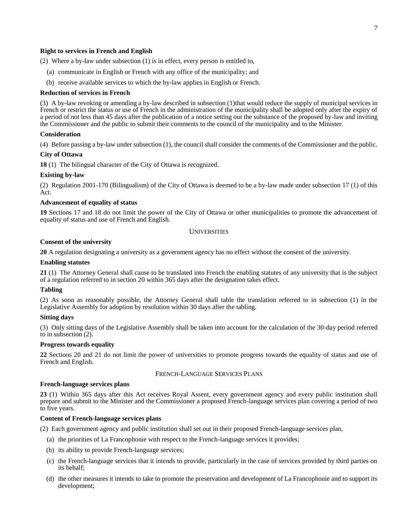#### **Right to services in French and English**

(2) Where a by-law under subsection (1) is in effect, every person is entitled to,

- (a) communicate in English or French with any office of the municipality; and
- (b) receive available services to which the by-law applies in English or French.

#### **Reduction of services in French**

(3) A by-law revoking or amending a by-law described in subsection (1)that would reduce the supply of municipal services in French or restrict the status or use of French in the administration of the municipality shall be adopted only after the expiry of a period of not less than 45 days after the publication of a notice setting out the substance of the proposed by-law and inviting the Commissioner and the public to submit their comments to the council of the municipality and to the Minister.

#### **Consideration**

(4) Before passing a by-law under subsection (1), the council shall consider the comments of the Commissioner and the public.

# **City of Ottawa**

<span id="page-8-0"></span>**18** (1) The bilingual character of the City of Ottawa is recognized.

#### **Existing by-law**

(2) Regulation 2001-170 (Bilingualism) of the City of Ottawa is deemed to be a by-law made under subsection 17 (1) of this Act.

#### **Advancement of equality of status**

<span id="page-8-2"></span><span id="page-8-1"></span>**19** Sections 17 and 18 do not limit the power of the City of Ottawa or other municipalities to promote the advancement of equality of status and use of French and English.

#### UNIVERSITIES

#### **Consent of the university**

<span id="page-8-3"></span>**20** A regulation designating a university as a government agency has no effect without the consent of the university.

#### **Enabling statutes**

<span id="page-8-4"></span>**21** (1) The Attorney General shall cause to be translated into French the enabling statutes of any university that is the subject of a regulation referred to in section 20 within 365 days after the designation takes effect.

#### **Tabling**

(2) As soon as reasonably possible, the Attorney General shall table the translation referred to in subsection (1) in the Legislative Assembly for adoption by resolution within 30 days after the tabling.

#### **Sitting days**

(3) Only sitting days of the Legislative Assembly shall be taken into account for the calculation of the 30-day period referred to in subsection (2).

#### **Progress towards equality**

<span id="page-8-6"></span><span id="page-8-5"></span>**22** Sections 20 and 21 do not limit the power of universities to promote progress towards the equality of status and use of French and English.

#### FRENCH-LANGUAGE SERVICES PLANS

#### **French-language services plans**

<span id="page-8-7"></span>**23** (1) Within 365 days after this Act receives Royal Assent, every government agency and every public institution shall prepare and submit to the Minister and the Commissioner a proposed French-language services plan covering a period of two to five years.

#### **Content of French-language services plans**

(2) Each government agency and public institution shall set out in their proposed French-language services plan,

- (a) the priorities of La Francophonie with respect to the French-language services it provides;
- (b) its ability to provide French-language services;
- (c) the French-language services that it intends to provide, particularly in the case of services provided by third parties on its behalf;
- (d) the other measures it intends to take to promote the preservation and development of La Francophonie and to support its development;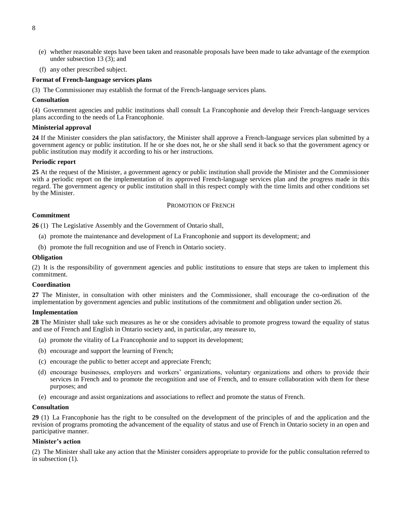- <span id="page-9-7"></span>(e) whether reasonable steps have been taken and reasonable proposals have been made to take advantage of the exemption under subsection 13 (3); and
- (f) any other prescribed subject.

#### **Format of French-language services plans**

(3) The Commissioner may establish the format of the French-language services plans.

#### **Consultation**

(4) Government agencies and public institutions shall consult La Francophonie and develop their French-language services plans according to the needs of La Francophonie.

#### **Ministerial approval**

<span id="page-9-0"></span>**24** If the Minister considers the plan satisfactory, the Minister shall approve a French-language services plan submitted by a government agency or public institution. If he or she does not, he or she shall send it back so that the government agency or public institution may modify it according to his or her instructions.

# **Periodic report**

<span id="page-9-1"></span>**25** At the request of the Minister, a government agency or public institution shall provide the Minister and the Commissioner with a periodic report on the implementation of its approved French-language services plan and the progress made in this regard. The government agency or public institution shall in this respect comply with the time limits and other conditions set by the Minister.

#### PROMOTION OF FRENCH

#### <span id="page-9-2"></span>**Commitment**

<span id="page-9-3"></span>**26** (1) The Legislative Assembly and the Government of Ontario shall,

- (a) promote the maintenance and development of La Francophonie and support its development; and
- (b) promote the full recognition and use of French in Ontario society.

#### **Obligation**

(2) It is the responsibility of government agencies and public institutions to ensure that steps are taken to implement this commitment.

#### **Coordination**

<span id="page-9-4"></span>**27** The Minister, in consultation with other ministers and the Commissioner, shall encourage the co-ordination of the implementation by government agencies and public institutions of the commitment and obligation under section 26.

#### **Implementation**

<span id="page-9-5"></span>**28** The Minister shall take such measures as he or she considers advisable to promote progress toward the equality of status and use of French and English in Ontario society and, in particular, any measure to,

- (a) promote the vitality of La Francophonie and to support its development;
- (b) encourage and support the learning of French;
- (c) encourage the public to better accept and appreciate French;
- (d) encourage businesses, employers and workers' organizations, voluntary organizations and others to provide their services in French and to promote the recognition and use of French, and to ensure collaboration with them for these purposes; and
- (e) encourage and assist organizations and associations to reflect and promote the status of French.

#### **Consultation**

<span id="page-9-6"></span>**29** (1) La Francophonie has the right to be consulted on the development of the principles of and the application and the revision of programs promoting the advancement of the equality of status and use of French in Ontario society in an open and participative manner.

#### **Minister's action**

(2) The Minister shall take any action that the Minister considers appropriate to provide for the public consultation referred to in subsection (1).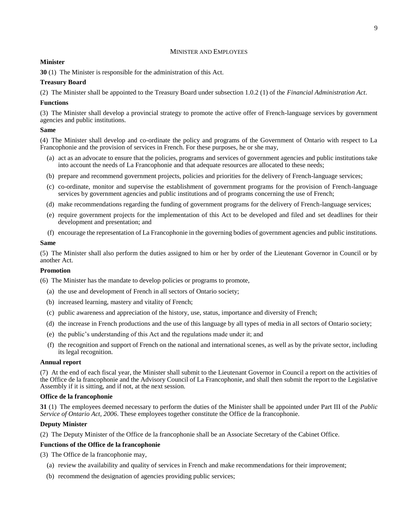# MINISTER AND EMPLOYEES

# **Minister**

**30** (1) The Minister is responsible for the administration of this Act.

# **Treasury Board**

(2) The Minister shall be appointed to the Treasury Board under subsection 1.0.2 (1) of the *Financial Administration Act*.

# **Functions**

(3) The Minister shall develop a provincial strategy to promote the active offer of French-language services by government agencies and public institutions.

# **Same**

(4) The Minister shall develop and co-ordinate the policy and programs of the Government of Ontario with respect to La Francophonie and the provision of services in French. For these purposes, he or she may,

- (a) act as an advocate to ensure that the policies, programs and services of government agencies and public institutions take into account the needs of La Francophonie and that adequate resources are allocated to these needs;
- (b) prepare and recommend government projects, policies and priorities for the delivery of French-language services;
- (c) co-ordinate, monitor and supervise the establishment of government programs for the provision of French-language services by government agencies and public institutions and of programs concerning the use of French;
- (d) make recommendations regarding the funding of government programs for the delivery of French-language services;
- (e) require government projects for the implementation of this Act to be developed and filed and set deadlines for their development and presentation; and
- (f) encourage the representation of La Francophonie in the governing bodies of government agencies and public institutions.

# **Same**

(5) The Minister shall also perform the duties assigned to him or her by order of the Lieutenant Governor in Council or by another Act.

# **Promotion**

(6) The Minister has the mandate to develop policies or programs to promote,

- (a) the use and development of French in all sectors of Ontario society;
- (b) increased learning, mastery and vitality of French;
- (c) public awareness and appreciation of the history, use, status, importance and diversity of French;
- (d) the increase in French productions and the use of this language by all types of media in all sectors of Ontario society;
- (e) the public's understanding of this Act and the regulations made under it; and
- (f) the recognition and support of French on the national and international scenes, as well as by the private sector, including its legal recognition.

# **Annual report**

(7) At the end of each fiscal year, the Minister shall submit to the Lieutenant Governor in Council a report on the activities of the Office de la francophonie and the Advisory Council of La Francophonie, and shall then submit the report to the Legislative Assembly if it is sitting, and if not, at the next session.

# **Office de la francophonie**

<span id="page-10-0"></span>**31** (1) The employees deemed necessary to perform the duties of the Minister shall be appointed under Part III of the *Public Service of Ontario Act, 2006*. These employees together constitute the Office de la francophonie.

# **Deputy Minister**

(2) The Deputy Minister of the Office de la francophonie shall be an Associate Secretary of the Cabinet Office.

# **Functions of the Office de la francophonie**

(3) The Office de la francophonie may,

- (a) review the availability and quality of services in French and make recommendations for their improvement;
- (b) recommend the designation of agencies providing public services;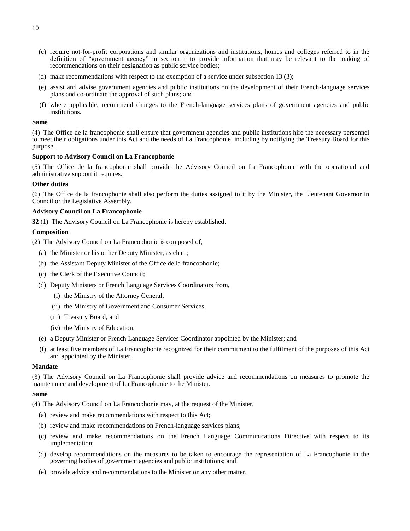- (c) require not-for-profit corporations and similar organizations and institutions, homes and colleges referred to in the definition of "government agency" in section 1 to provide information that may be relevant to the making of recommendations on their designation as public service bodies;
- (d) make recommendations with respect to the exemption of a service under subsection 13 (3);
- (e) assist and advise government agencies and public institutions on the development of their French-language services plans and co-ordinate the approval of such plans; and
- (f) where applicable, recommend changes to the French-language services plans of government agencies and public institutions.

#### **Same**

(4) The Office de la francophonie shall ensure that government agencies and public institutions hire the necessary personnel to meet their obligations under this Act and the needs of La Francophonie, including by notifying the Treasury Board for this purpose.

#### **Support to Advisory Council on La Francophonie**

(5) The Office de la francophonie shall provide the Advisory Council on La Francophonie with the operational and administrative support it requires.

#### **Other duties**

(6) The Office de la francophonie shall also perform the duties assigned to it by the Minister, the Lieutenant Governor in Council or the Legislative Assembly.

#### **Advisory Council on La Francophonie**

<span id="page-11-0"></span>**32** (1) The Advisory Council on La Francophonie is hereby established.

#### **Composition**

(2) The Advisory Council on La Francophonie is composed of,

- (a) the Minister or his or her Deputy Minister, as chair;
- (b) the Assistant Deputy Minister of the Office de la francophonie;
- (c) the Clerk of the Executive Council;
- (d) Deputy Ministers or French Language Services Coordinators from,
	- (i) the Ministry of the Attorney General,
	- (ii) the Ministry of Government and Consumer Services,
	- (iii) Treasury Board, and
	- (iv) the Ministry of Education;
- (e) a Deputy Minister or French Language Services Coordinator appointed by the Minister; and
- (f) at least five members of La Francophonie recognized for their commitment to the fulfilment of the purposes of this Act and appointed by the Minister.

#### **Mandate**

(3) The Advisory Council on La Francophonie shall provide advice and recommendations on measures to promote the maintenance and development of La Francophonie to the Minister.

#### **Same**

- (4) The Advisory Council on La Francophonie may, at the request of the Minister,
	- (a) review and make recommendations with respect to this Act;
	- (b) review and make recommendations on French-language services plans;
	- (c) review and make recommendations on the French Language Communications Directive with respect to its implementation;
	- (d) develop recommendations on the measures to be taken to encourage the representation of La Francophonie in the governing bodies of government agencies and public institutions; and
	- (e) provide advice and recommendations to the Minister on any other matter.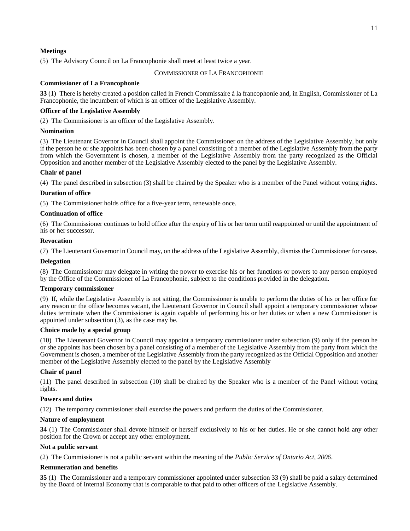<span id="page-12-0"></span>(5) The Advisory Council on La Francophonie shall meet at least twice a year.

# COMMISSIONER OF LA FRANCOPHONIE

# **Commissioner of La Francophonie**

<span id="page-12-1"></span>**33** (1) There is hereby created a position called in French Commissaire à la francophonie and, in English, Commissioner of La Francophonie, the incumbent of which is an officer of the Legislative Assembly.

# **Officer of the Legislative Assembly**

(2) The Commissioner is an officer of the Legislative Assembly.

# **Nomination**

(3) The Lieutenant Governor in Council shall appoint the Commissioner on the address of the Legislative Assembly, but only if the person he or she appoints has been chosen by a panel consisting of a member of the Legislative Assembly from the party from which the Government is chosen, a member of the Legislative Assembly from the party recognized as the Official Opposition and another member of the Legislative Assembly elected to the panel by the Legislative Assembly.

# **Chair of panel**

(4) The panel described in subsection (3) shall be chaired by the Speaker who is a member of the Panel without voting rights.

# **Duration of office**

(5) The Commissioner holds office for a five-year term, renewable once.

# **Continuation of office**

(6) The Commissioner continues to hold office after the expiry of his or her term until reappointed or until the appointment of his or her successor.

# **Revocation**

(7) The Lieutenant Governor in Council may, on the address of the Legislative Assembly, dismiss the Commissioner for cause.

# **Delegation**

(8) The Commissioner may delegate in writing the power to exercise his or her functions or powers to any person employed by the Office of the Commissioner of La Francophonie, subject to the conditions provided in the delegation.

# **Temporary commissioner**

(9) If, while the Legislative Assembly is not sitting, the Commissioner is unable to perform the duties of his or her office for any reason or the office becomes vacant, the Lieutenant Governor in Council shall appoint a temporary commissioner whose duties terminate when the Commissioner is again capable of performing his or her duties or when a new Commissioner is appointed under subsection (3), as the case may be.

# **Choice made by a special group**

(10) The Lieutenant Governor in Council may appoint a temporary commissioner under subsection (9) only if the person he or she appoints has been chosen by a panel consisting of a member of the Legislative Assembly from the party from which the Government is chosen, a member of the Legislative Assembly from the party recognized as the Official Opposition and another member of the Legislative Assembly elected to the panel by the Legislative Assembly

# **Chair of panel**

(11) The panel described in subsection (10) shall be chaired by the Speaker who is a member of the Panel without voting rights.

# **Powers and duties**

(12) The temporary commissioner shall exercise the powers and perform the duties of the Commissioner.

# **Nature of employment**

<span id="page-12-2"></span>**34** (1) The Commissioner shall devote himself or herself exclusively to his or her duties. He or she cannot hold any other position for the Crown or accept any other employment.

# **Not a public servant**

(2) The Commissioner is not a public servant within the meaning of the *Public Service of Ontario Act, 2006*.

# **Remuneration and benefits**

<span id="page-12-3"></span>**35** (1) The Commissioner and a temporary commissioner appointed under subsection 33 (9) shall be paid a salary determined by the Board of Internal Economy that is comparable to that paid to other officers of the Legislative Assembly.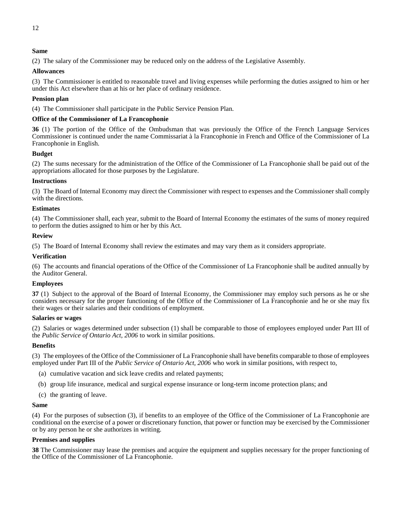# <span id="page-13-3"></span>**Same**

(2) The salary of the Commissioner may be reduced only on the address of the Legislative Assembly.

# **Allowances**

(3) The Commissioner is entitled to reasonable travel and living expenses while performing the duties assigned to him or her under this Act elsewhere than at his or her place of ordinary residence.

# **Pension plan**

(4) The Commissioner shall participate in the Public Service Pension Plan.

# **Office of the Commissioner of La Francophonie**

<span id="page-13-0"></span>**36** (1) The portion of the Office of the Ombudsman that was previously the Office of the French Language Services Commissioner is continued under the name Commissariat à la Francophonie in French and Office of the Commissioner of La Francophonie in English.

# **Budget**

(2) The sums necessary for the administration of the Office of the Commissioner of La Francophonie shall be paid out of the appropriations allocated for those purposes by the Legislature.

# **Instructions**

(3) The Board of Internal Economy may direct the Commissioner with respect to expenses and the Commissioner shall comply with the directions.

#### **Estimates**

(4) The Commissioner shall, each year, submit to the Board of Internal Economy the estimates of the sums of money required to perform the duties assigned to him or her by this Act.

# **Review**

(5) The Board of Internal Economy shall review the estimates and may vary them as it considers appropriate.

#### **Verification**

(6) The accounts and financial operations of the Office of the Commissioner of La Francophonie shall be audited annually by the Auditor General.

# **Employees**

<span id="page-13-1"></span>**37** (1) Subject to the approval of the Board of Internal Economy, the Commissioner may employ such persons as he or she considers necessary for the proper functioning of the Office of the Commissioner of La Francophonie and he or she may fix their wages or their salaries and their conditions of employment.

#### **Salaries or wages**

(2) Salaries or wages determined under subsection (1) shall be comparable to those of employees employed under Part III of the *Public Service of Ontario Act, 2006* to work in similar positions.

# **Benefits**

(3) The employees of the Office of the Commissioner of La Francophonie shall have benefits comparable to those of employees employed under Part III of the *Public Service of Ontario Act, 2006* who work in similar positions, with respect to,

- (a) cumulative vacation and sick leave credits and related payments;
- (b) group life insurance, medical and surgical expense insurance or long-term income protection plans; and
- (c) the granting of leave.

#### **Same**

(4) For the purposes of subsection (3), if benefits to an employee of the Office of the Commissioner of La Francophonie are conditional on the exercise of a power or discretionary function, that power or function may be exercised by the Commissioner or by any person he or she authorizes in writing.

#### **Premises and supplies**

<span id="page-13-2"></span>**38** The Commissioner may lease the premises and acquire the equipment and supplies necessary for the proper functioning of the Office of the Commissioner of La Francophonie.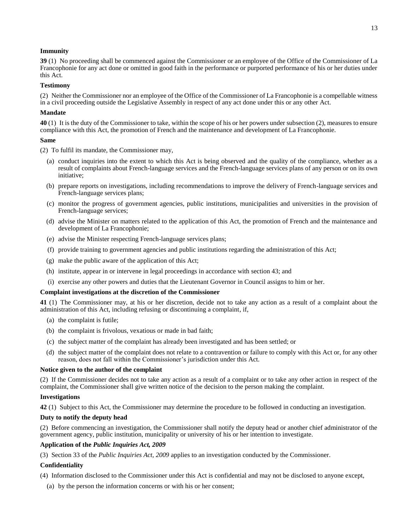# **Immunity**

**39** (1) No proceeding shall be commenced against the Commissioner or an employee of the Office of the Commissioner of La Francophonie for any act done or omitted in good faith in the performance or purported performance of his or her duties under this Act.

# **Testimony**

(2) Neither the Commissioner nor an employee of the Office of the Commissioner of La Francophonie is a compellable witness in a civil proceeding outside the Legislative Assembly in respect of any act done under this or any other Act.

#### **Mandate**

<span id="page-14-0"></span>**40** (1) It is the duty of the Commissioner to take, within the scope of his or her powers under subsection (2), measures to ensure compliance with this Act, the promotion of French and the maintenance and development of La Francophonie.

#### **Same**

(2) To fulfil its mandate, the Commissioner may,

- (a) conduct inquiries into the extent to which this Act is being observed and the quality of the compliance, whether as a result of complaints about French-language services and the French-language services plans of any person or on its own initiative;
- (b) prepare reports on investigations, including recommendations to improve the delivery of French-language services and French-language services plans;
- (c) monitor the progress of government agencies, public institutions, municipalities and universities in the provision of French-language services;
- (d) advise the Minister on matters related to the application of this Act, the promotion of French and the maintenance and development of La Francophonie;
- (e) advise the Minister respecting French-language services plans;
- (f) provide training to government agencies and public institutions regarding the administration of this Act;
- (g) make the public aware of the application of this Act;
- (h) institute, appear in or intervene in legal proceedings in accordance with section 43; and
- (i) exercise any other powers and duties that the Lieutenant Governor in Council assigns to him or her.

# **Complaint investigations at the discretion of the Commissioner**

<span id="page-14-1"></span>**41** (1) The Commissioner may, at his or her discretion, decide not to take any action as a result of a complaint about the administration of this Act, including refusing or discontinuing a complaint, if,

- (a) the complaint is futile;
- (b) the complaint is frivolous, vexatious or made in bad faith;
- (c) the subject matter of the complaint has already been investigated and has been settled; or
- (d) the subject matter of the complaint does not relate to a contravention or failure to comply with this Act or, for any other reason, does not fall within the Commissioner's jurisdiction under this Act.

#### **Notice given to the author of the complaint**

(2) If the Commissioner decides not to take any action as a result of a complaint or to take any other action in respect of the complaint, the Commissioner shall give written notice of the decision to the person making the complaint.

# **Investigations**

<span id="page-14-2"></span>**42** (1) Subject to this Act, the Commissioner may determine the procedure to be followed in conducting an investigation.

# **Duty to notify the deputy head**

(2) Before commencing an investigation, the Commissioner shall notify the deputy head or another chief administrator of the government agency, public institution, municipality or university of his or her intention to investigate.

# **Application of the** *Public Inquiries Act, 2009*

(3) Section 33 of the *Public Inquiries Act, 2009* applies to an investigation conducted by the Commissioner.

# **Confidentiality**

- (4) Information disclosed to the Commissioner under this Act is confidential and may not be disclosed to anyone except,
	- (a) by the person the information concerns or with his or her consent;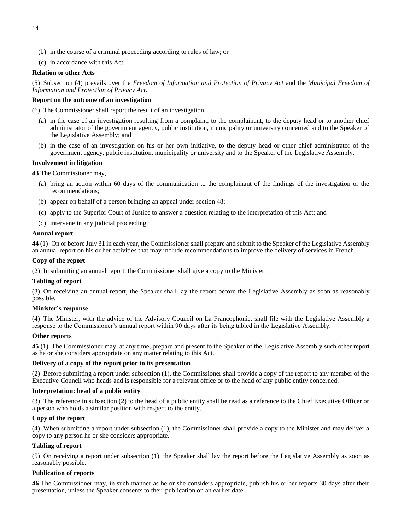- <span id="page-15-4"></span>(b) in the course of a criminal proceeding according to rules of law; or
- (c) in accordance with this Act.

# **Relation to other Acts**

(5) Subsection (4) prevails over the *Freedom of Information and Protection of Privacy Act* and the *Municipal Freedom of Information and Protection of Privacy Act*.

# **Report on the outcome of an investigation**

(6) The Commissioner shall report the result of an investigation,

- (a) in the case of an investigation resulting from a complaint, to the complainant, to the deputy head or to another chief administrator of the government agency, public institution, municipality or university concerned and to the Speaker of the Legislative Assembly; and
- (b) in the case of an investigation on his or her own initiative, to the deputy head or other chief administrator of the government agency, public institution, municipality or university and to the Speaker of the Legislative Assembly.

# **Involvement in litigation**

<span id="page-15-0"></span>**43** The Commissioner may,

- (a) bring an action within 60 days of the communication to the complainant of the findings of the investigation or the recommendations;
- (b) appear on behalf of a person bringing an appeal under section 48;
- (c) apply to the Superior Court of Justice to answer a question relating to the interpretation of this Act; and
- (d) intervene in any judicial proceeding.

# **Annual report**

<span id="page-15-1"></span>**44** (1) On or before July 31 in each year, the Commissioner shall prepare and submit to the Speaker of the Legislative Assembly an annual report on his or her activities that may include recommendations to improve the delivery of services in French.

# **Copy of the report**

(2) In submitting an annual report, the Commissioner shall give a copy to the Minister.

# **Tabling of report**

(3) On receiving an annual report, the Speaker shall lay the report before the Legislative Assembly as soon as reasonably possible.

# **Minister's response**

(4) The Minister, with the advice of the Advisory Council on La Francophonie, shall file with the Legislative Assembly a response to the Commissioner's annual report within 90 days after its being tabled in the Legislative Assembly.

# **Other reports**

<span id="page-15-2"></span>**45** (1) The Commissioner may, at any time, prepare and present to the Speaker of the Legislative Assembly such other report as he or she considers appropriate on any matter relating to this Act.

# **Delivery of a copy of the report prior to its presentation**

(2) Before submitting a report under subsection (1), the Commissioner shall provide a copy of the report to any member of the Executive Council who heads and is responsible for a relevant office or to the head of any public entity concerned.

# **Interpretation: head of a public entity**

(3) The reference in subsection (2) to the head of a public entity shall be read as a reference to the Chief Executive Officer or a person who holds a similar position with respect to the entity.

# **Copy of the report**

(4) When submitting a report under subsection (1), the Commissioner shall provide a copy to the Minister and may deliver a copy to any person he or she considers appropriate.

# **Tabling of report**

(5) On receiving a report under subsection (1), the Speaker shall lay the report before the Legislative Assembly as soon as reasonably possible.

# **Publication of reports**

<span id="page-15-3"></span>**46** The Commissioner may, in such manner as he or she considers appropriate, publish his or her reports 30 days after their presentation, unless the Speaker consents to their publication on an earlier date.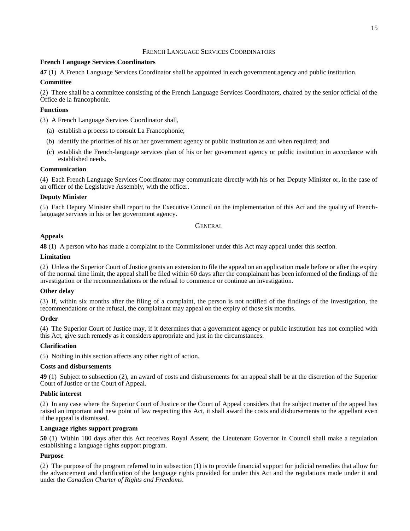# FRENCH LANGUAGE SERVICES COORDINATORS

# **French Language Services Coordinators**

<span id="page-16-0"></span>**47** (1) A French Language Services Coordinator shall be appointed in each government agency and public institution.

# **Committee**

(2) There shall be a committee consisting of the French Language Services Coordinators, chaired by the senior official of the Office de la francophonie.

# **Functions**

(3) A French Language Services Coordinator shall,

- (a) establish a process to consult La Francophonie;
- (b) identify the priorities of his or her government agency or public institution as and when required; and
- (c) establish the French-language services plan of his or her government agency or public institution in accordance with established needs.

# **Communication**

(4) Each French Language Services Coordinator may communicate directly with his or her Deputy Minister or, in the case of an officer of the Legislative Assembly, with the officer.

# **Deputy Minister**

<span id="page-16-1"></span>(5) Each Deputy Minister shall report to the Executive Council on the implementation of this Act and the quality of Frenchlanguage services in his or her government agency.

**GENERAL** 

# **Appeals**

<span id="page-16-2"></span>**48** (1) A person who has made a complaint to the Commissioner under this Act may appeal under this section.

# **Limitation**

(2) Unless the Superior Court of Justice grants an extension to file the appeal on an application made before or after the expiry of the normal time limit, the appeal shall be filed within 60 days after the complainant has been informed of the findings of the investigation or the recommendations or the refusal to commence or continue an investigation.

# **Other delay**

(3) If, within six months after the filing of a complaint, the person is not notified of the findings of the investigation, the recommendations or the refusal, the complainant may appeal on the expiry of those six months.

# **Order**

(4) The Superior Court of Justice may, if it determines that a government agency or public institution has not complied with this Act, give such remedy as it considers appropriate and just in the circumstances.

# **Clarification**

(5) Nothing in this section affects any other right of action.

# **Costs and disbursements**

<span id="page-16-3"></span>**49** (1) Subject to subsection (2), an award of costs and disbursements for an appeal shall be at the discretion of the Superior Court of Justice or the Court of Appeal.

# **Public interest**

(2) In any case where the Superior Court of Justice or the Court of Appeal considers that the subject matter of the appeal has raised an important and new point of law respecting this Act, it shall award the costs and disbursements to the appellant even if the appeal is dismissed.

# **Language rights support program**

<span id="page-16-4"></span>**50** (1) Within 180 days after this Act receives Royal Assent, the Lieutenant Governor in Council shall make a regulation establishing a language rights support program.

# **Purpose**

(2) The purpose of the program referred to in subsection (1) is to provide financial support for judicial remedies that allow for the advancement and clarification of the language rights provided for under this Act and the regulations made under it and under the *Canadian Charter of Rights and Freedoms*.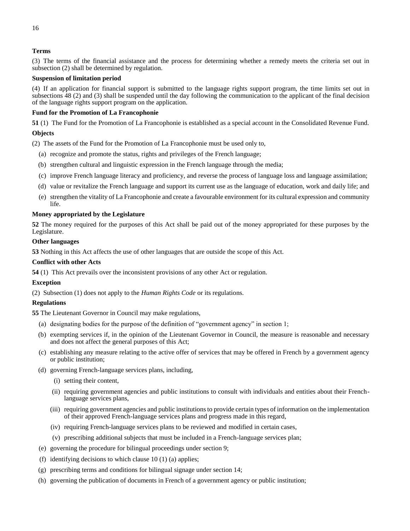(3) The terms of the financial assistance and the process for determining whether a remedy meets the criteria set out in subsection (2) shall be determined by regulation.

# **Suspension of limitation period**

(4) If an application for financial support is submitted to the language rights support program, the time limits set out in subsections 48 (2) and (3) shall be suspended until the day following the communication to the applicant of the final decision of the language rights support program on the application.

# **Fund for the Promotion of La Francophonie**

<span id="page-17-0"></span>**51** (1) The Fund for the Promotion of La Francophonie is established as a special account in the Consolidated Revenue Fund.

# **Objects**

(2) The assets of the Fund for the Promotion of La Francophonie must be used only to,

- (a) recognize and promote the status, rights and privileges of the French language;
- (b) strengthen cultural and linguistic expression in the French language through the media;
- (c) improve French language literacy and proficiency, and reverse the process of language loss and language assimilation;
- (d) value or revitalize the French language and support its current use as the language of education, work and daily life; and
- (e) strengthen the vitality of La Francophonie and create a favourable environment for its cultural expression and community life.

# **Money appropriated by the Legislature**

<span id="page-17-1"></span>**52** The money required for the purposes of this Act shall be paid out of the money appropriated for these purposes by the Legislature.

# **Other languages**

<span id="page-17-2"></span>**53** Nothing in this Act affects the use of other languages that are outside the scope of this Act.

# **Conflict with other Acts**

<span id="page-17-3"></span>**54** (1) This Act prevails over the inconsistent provisions of any other Act or regulation.

# **Exception**

(2) Subsection (1) does not apply to the *Human Rights Code* or its regulations.

# **Regulations**

<span id="page-17-4"></span>**55** The Lieutenant Governor in Council may make regulations,

- (a) designating bodies for the purpose of the definition of "government agency" in section 1;
- (b) exempting services if, in the opinion of the Lieutenant Governor in Council, the measure is reasonable and necessary and does not affect the general purposes of this Act;
- (c) establishing any measure relating to the active offer of services that may be offered in French by a government agency or public institution;
- (d) governing French-language services plans, including,
	- (i) setting their content,
	- (ii) requiring government agencies and public institutions to consult with individuals and entities about their Frenchlanguage services plans,
	- (iii) requiring government agencies and public institutions to provide certain types of information on the implementation of their approved French-language services plans and progress made in this regard,
	- (iv) requiring French-language services plans to be reviewed and modified in certain cases,
	- (v) prescribing additional subjects that must be included in a French-language services plan;
- (e) governing the procedure for bilingual proceedings under section 9;
- (f) identifying decisions to which clause 10 (1) (a) applies;
- (g) prescribing terms and conditions for bilingual signage under section 14;
- (h) governing the publication of documents in French of a government agency or public institution;